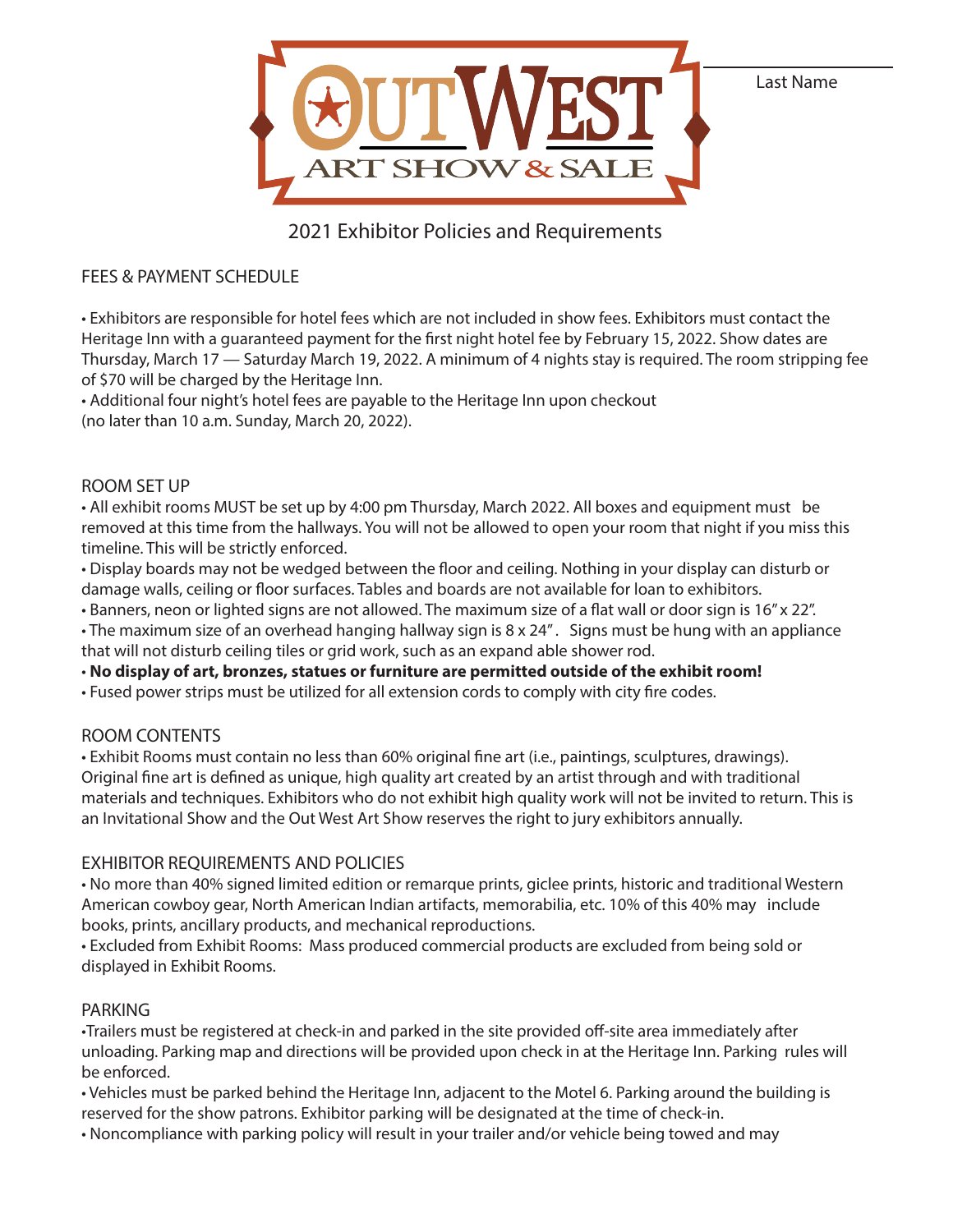

# 2021 Exhibitor Policies and Requirements

## FEES & PAYMENT SCHEDULE

• Exhibitors are responsible for hotel fees which are not included in show fees. Exhibitors must contact the Heritage Inn with a guaranteed payment for the first night hotel fee by February 15, 2022. Show dates are Thursday, March 17 — Saturday March 19, 2022. A minimum of 4 nights stay is required. The room stripping fee of \$70 will be charged by the Heritage Inn.

• Additional four night's hotel fees are payable to the Heritage Inn upon checkout (no later than 10 a.m. Sunday, March 20, 2022).

## ROOM SET UP

• All exhibit rooms MUST be set up by 4:00 pm Thursday, March 2022. All boxes and equipment must be removed at this time from the hallways. You will not be allowed to open your room that night if you miss this timeline. This will be strictly enforced.

• Display boards may not be wedged between the floor and ceiling. Nothing in your display can disturb or damage walls, ceiling or floor surfaces. Tables and boards are not available for loan to exhibitors.

• Banners, neon or lighted signs are not allowed. The maximum size of a flat wall or door sign is 16" x 22".

• The maximum size of an overhead hanging hallway sign is 8 x 24" . Signs must be hung with an appliance that will not disturb ceiling tiles or grid work, such as an expand able shower rod.

• **No display of art, bronzes, statues or furniture are permitted outside of the exhibit room!**

• Fused power strips must be utilized for all extension cords to comply with city fire codes.

## ROOM CONTENTS

• Exhibit Rooms must contain no less than 60% original fine art (i.e., paintings, sculptures, drawings). Original fine art is defined as unique, high quality art created by an artist through and with traditional materials and techniques. Exhibitors who do not exhibit high quality work will not be invited to return. This is an Invitational Show and the Out West Art Show reserves the right to jury exhibitors annually.

## EXHIBITOR REQUIREMENTS AND POLICIES

• No more than 40% signed limited edition or remarque prints, giclee prints, historic and traditional Western American cowboy gear, North American Indian artifacts, memorabilia, etc. 10% of this 40% may include books, prints, ancillary products, and mechanical reproductions.

• Excluded from Exhibit Rooms: Mass produced commercial products are excluded from being sold or displayed in Exhibit Rooms.

## PARKING

•Trailers must be registered at check-in and parked in the site provided off-site area immediately after unloading. Parking map and directions will be provided upon check in at the Heritage Inn. Parking rules will be enforced.

• Vehicles must be parked behind the Heritage Inn, adjacent to the Motel 6. Parking around the building is reserved for the show patrons. Exhibitor parking will be designated at the time of check-in.

• Noncompliance with parking policy will result in your trailer and/or vehicle being towed and may